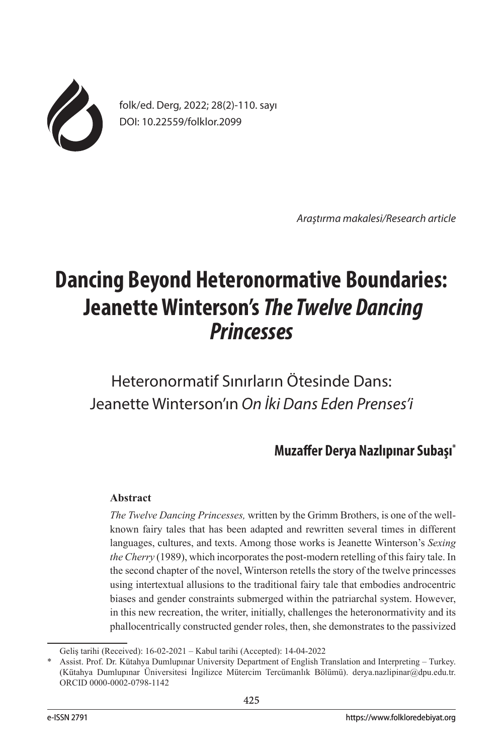

folk/ed. Derg, 2022; 28(2)-110. sayı DOI: 10.22559/folklor.2099

*Araştırma makalesi/Research article*

# **Dancing Beyond Heteronormative Boundaries: Jeanette Winterson's** *The Twelve Dancing Princesses*

Heteronormatif Sınırların Ötesinde Dans: Jeanette Winterson'ın *On İki Dans Eden Prenses'i*

## **Muzaffer Derya Nazlıpınar Subaşı\***

### **Abstract**

*The Twelve Dancing Princesses,* written by the Grimm Brothers, is one of the wellknown fairy tales that has been adapted and rewritten several times in different languages, cultures, and texts. Among those works is Jeanette Winterson's *Sexing the Cherry* (1989), which incorporates the post-modern retelling of this fairy tale. In the second chapter of the novel, Winterson retells the story of the twelve princesses using intertextual allusions to the traditional fairy tale that embodies androcentric biases and gender constraints submerged within the patriarchal system. However, in this new recreation, the writer, initially, challenges the heteronormativity and its phallocentrically constructed gender roles, then, she demonstrates to the passivized

Geliş tarihi (Received): 16-02-2021 – Kabul tarihi (Accepted): 14-04-2022

<sup>\*</sup> Assist. Prof. Dr. Kütahya Dumlupınar University Department of English Translation and Interpreting – Turkey. (Kütahya Dumlupınar Üniversitesi İngilizce Mütercim Tercümanlık Bölümü). derya.nazlipinar@dpu.edu.tr. ORCID 0000-0002-0798-1142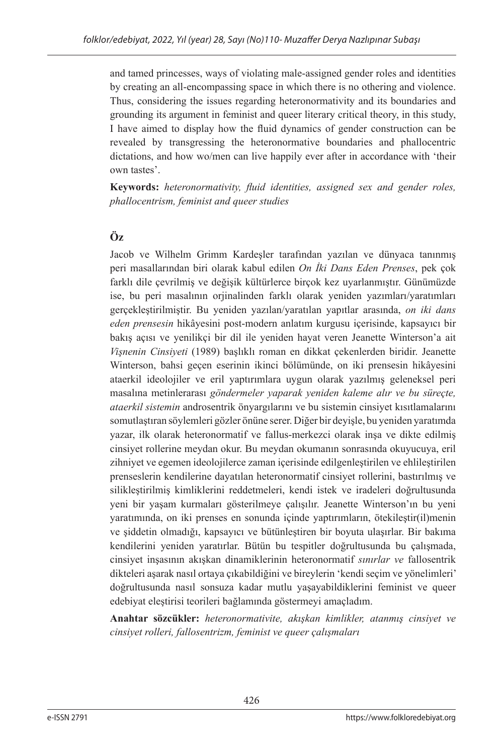and tamed princesses, ways of violating male-assigned gender roles and identities by creating an all-encompassing space in which there is no othering and violence. Thus, considering the issues regarding heteronormativity and its boundaries and grounding its argument in feminist and queer literary critical theory, in this study, I have aimed to display how the fluid dynamics of gender construction can be revealed by transgressing the heteronormative boundaries and phallocentric dictations, and how wo/men can live happily ever after in accordance with 'their own tastes'.

**Keywords:** *heteronormativity, fluid identities, assigned sex and gender roles, phallocentrism, feminist and queer studies*

## **Öz**

Jacob ve Wilhelm Grimm Kardeşler tarafından yazılan ve dünyaca tanınmış peri masallarından biri olarak kabul edilen *On İki Dans Eden Prenses*, pek çok farklı dile çevrilmiş ve değişik kültürlerce birçok kez uyarlanmıştır. Günümüzde ise, bu peri masalının orjinalinden farklı olarak yeniden yazımları/yaratımları gerçekleştirilmiştir. Bu yeniden yazılan/yaratılan yapıtlar arasında, *on iki dans eden prensesin* hikâyesini post-modern anlatım kurgusu içerisinde, kapsayıcı bir bakış açısı ve yenilikçi bir dil ile yeniden hayat veren Jeanette Winterson'a ait *Vişnenin Cinsiyeti* (1989) başlıklı roman en dikkat çekenlerden biridir. Jeanette Winterson, bahsi geçen eserinin ikinci bölümünde, on iki prensesin hikâyesini ataerkil ideolojiler ve eril yaptırımlara uygun olarak yazılmış geleneksel peri masalına metinlerarası *göndermeler yaparak yeniden kaleme alır ve bu süreçte, ataerkil sistemin* androsentrik önyargılarını ve bu sistemin cinsiyet kısıtlamalarını somutlaştıran söylemleri gözler önüne serer. Diğer bir deyişle, bu yeniden yaratımda yazar, ilk olarak heteronormatif ve fallus-merkezci olarak inşa ve dikte edilmiş cinsiyet rollerine meydan okur. Bu meydan okumanın sonrasında okuyucuya, eril zihniyet ve egemen ideolojilerce zaman içerisinde edilgenleştirilen ve ehlileştirilen prenseslerin kendilerine dayatılan heteronormatif cinsiyet rollerini, bastırılmış ve silikleştirilmiş kimliklerini reddetmeleri, kendi istek ve iradeleri doğrultusunda yeni bir yaşam kurmaları gösterilmeye çalışılır. Jeanette Winterson'ın bu yeni yaratımında, on iki prenses en sonunda içinde yaptırımların, ötekileştir(il)menin ve şiddetin olmadığı, kapsayıcı ve bütünleştiren bir boyuta ulaşırlar. Bir bakıma kendilerini yeniden yaratırlar. Bütün bu tespitler doğrultusunda bu çalışmada, cinsiyet inşasının akışkan dinamiklerinin heteronormatif *sınırlar ve* fallosentrik dikteleri aşarak nasıl ortaya çıkabildiğini ve bireylerin 'kendi seçim ve yönelimleri' doğrultusunda nasıl sonsuza kadar mutlu yaşayabildiklerini feminist ve queer edebiyat eleştirisi teorileri bağlamında göstermeyi amaçladım.

**Anahtar sözcükler:** *heteronormativite, akışkan kimlikler, atanmış cinsiyet ve cinsiyet rolleri, fallosentrizm, feminist ve queer çalışmaları*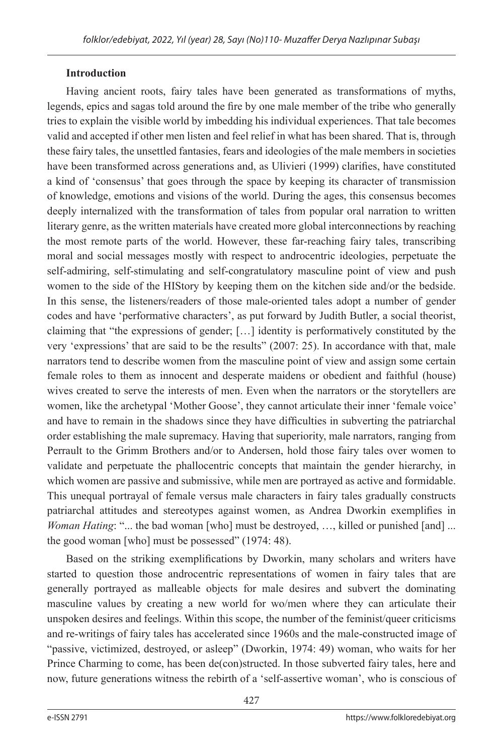## **Introduction**

Having ancient roots, fairy tales have been generated as transformations of myths, legends, epics and sagas told around the fire by one male member of the tribe who generally tries to explain the visible world by imbedding his individual experiences. That tale becomes valid and accepted if other men listen and feel relief in what has been shared. That is, through these fairy tales, the unsettled fantasies, fears and ideologies of the male members in societies have been transformed across generations and, as Ulivieri (1999) clarifies, have constituted a kind of 'consensus' that goes through the space by keeping its character of transmission of knowledge, emotions and visions of the world. During the ages, this consensus becomes deeply internalized with the transformation of tales from popular oral narration to written literary genre, as the written materials have created more global interconnections by reaching the most remote parts of the world. However, these far-reaching fairy tales, transcribing moral and social messages mostly with respect to androcentric ideologies, perpetuate the self-admiring, self-stimulating and self-congratulatory masculine point of view and push women to the side of the HIStory by keeping them on the kitchen side and/or the bedside. In this sense, the listeners/readers of those male-oriented tales adopt a number of gender codes and have 'performative characters', as put forward by Judith Butler, a social theorist, claiming that "the expressions of gender; […] identity is performatively constituted by the very 'expressions' that are said to be the results" (2007: 25). In accordance with that, male narrators tend to describe women from the masculine point of view and assign some certain female roles to them as innocent and desperate maidens or obedient and faithful (house) wives created to serve the interests of men. Even when the narrators or the storytellers are women, like the archetypal 'Mother Goose', they cannot articulate their inner 'female voice' and have to remain in the shadows since they have difficulties in subverting the patriarchal order establishing the male supremacy. Having that superiority, male narrators, ranging from Perrault to the Grimm Brothers and/or to Andersen, hold those fairy tales over women to validate and perpetuate the phallocentric concepts that maintain the gender hierarchy, in which women are passive and submissive, while men are portrayed as active and formidable. This unequal portrayal of female versus male characters in fairy tales gradually constructs patriarchal attitudes and stereotypes against women, as Andrea Dworkin exemplifies in *Woman Hating*: "... the bad woman [who] must be destroyed, …, killed or punished [and] ... the good woman [who] must be possessed" (1974: 48).

Based on the striking exemplifications by Dworkin, many scholars and writers have started to question those androcentric representations of women in fairy tales that are generally portrayed as malleable objects for male desires and subvert the dominating masculine values by creating a new world for wo/men where they can articulate their unspoken desires and feelings. Within this scope, the number of the feminist/queer criticisms and re-writings of fairy tales has accelerated since 1960s and the male-constructed image of "passive, victimized, destroyed, or asleep" (Dworkin, 1974: 49) woman, who waits for her Prince Charming to come, has been de(con)structed. In those subverted fairy tales, here and now, future generations witness the rebirth of a 'self-assertive woman', who is conscious of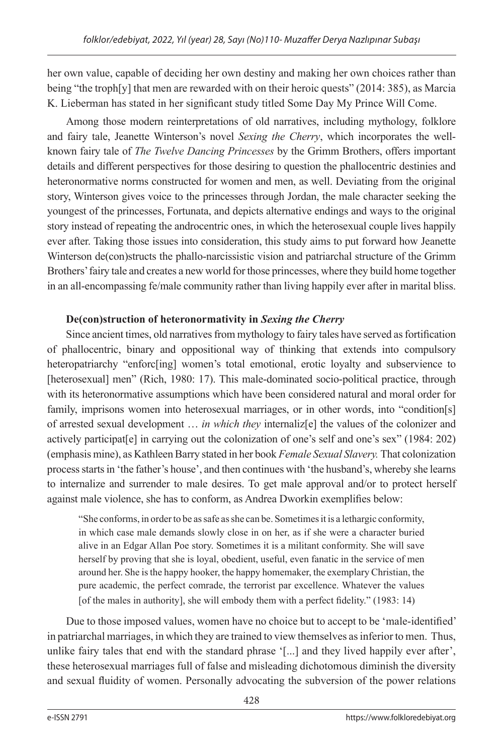her own value, capable of deciding her own destiny and making her own choices rather than being "the troph[y] that men are rewarded with on their heroic quests" (2014: 385), as Marcia K. Lieberman has stated in her significant study titled Some Day My Prince Will Come.

Among those modern reinterpretations of old narratives, including mythology, folklore and fairy tale, Jeanette Winterson's novel *Sexing the Cherry*, which incorporates the wellknown fairy tale of *The Twelve Dancing Princesses* by the Grimm Brothers, offers important details and different perspectives for those desiring to question the phallocentric destinies and heteronormative norms constructed for women and men, as well. Deviating from the original story, Winterson gives voice to the princesses through Jordan, the male character seeking the youngest of the princesses, Fortunata, and depicts alternative endings and ways to the original story instead of repeating the androcentric ones, in which the heterosexual couple lives happily ever after. Taking those issues into consideration, this study aims to put forward how Jeanette Winterson de(con)structs the phallo-narcissistic vision and patriarchal structure of the Grimm Brothers' fairy tale and creates a new world for those princesses, where they build home together in an all-encompassing fe/male community rather than living happily ever after in marital bliss.

## **De(con)struction of heteronormativity in** *Sexing the Cherry*

Since ancient times, old narratives from mythology to fairy tales have served as fortification of phallocentric, binary and oppositional way of thinking that extends into compulsory heteropatriarchy "enforc[ing] women's total emotional, erotic loyalty and subservience to [heterosexual] men" (Rich, 1980: 17). This male-dominated socio-political practice, through with its heteronormative assumptions which have been considered natural and moral order for family, imprisons women into heterosexual marriages, or in other words, into "condition[s] of arrested sexual development … *in which they* internaliz[e] the values of the colonizer and actively participat[e] in carrying out the colonization of one's self and one's sex" (1984: 202) (emphasis mine), as Kathleen Barry stated in her book *Female Sexual Slavery.* That colonization process starts in 'the father's house', and then continues with 'the husband's, whereby she learns to internalize and surrender to male desires. To get male approval and/or to protect herself against male violence, she has to conform, as Andrea Dworkin exemplifies below:

"She conforms, in order to be as safe as she can be. Sometimes it is a lethargic conformity, in which case male demands slowly close in on her, as if she were a character buried alive in an Edgar Allan Poe story. Sometimes it is a militant conformity. She will save herself by proving that she is loyal, obedient, useful, even fanatic in the service of men around her. She is the happy hooker, the happy homemaker, the exemplary Christian, the pure academic, the perfect comrade, the terrorist par excellence. Whatever the values [of the males in authority], she will embody them with a perfect fidelity." (1983: 14)

Due to those imposed values, women have no choice but to accept to be 'male-identified' in patriarchal marriages, in which they are trained to view themselves as inferior to men. Thus, unlike fairy tales that end with the standard phrase '[...] and they lived happily ever after', these heterosexual marriages full of false and misleading dichotomous diminish the diversity and sexual fluidity of women. Personally advocating the subversion of the power relations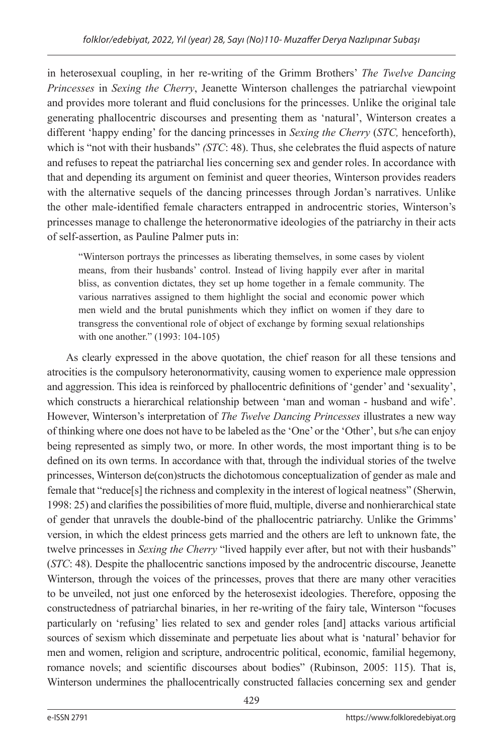in heterosexual coupling, in her re-writing of the Grimm Brothers' *The Twelve Dancing Princesses* in *Sexing the Cherry*, Jeanette Winterson challenges the patriarchal viewpoint and provides more tolerant and fluid conclusions for the princesses. Unlike the original tale generating phallocentric discourses and presenting them as 'natural', Winterson creates a different 'happy ending' for the dancing princesses in *Sexing the Cherry* (*STC,* henceforth), which is "not with their husbands" *(STC*: 48). Thus, she celebrates the fluid aspects of nature and refuses to repeat the patriarchal lies concerning sex and gender roles. In accordance with that and depending its argument on feminist and queer theories, Winterson provides readers with the alternative sequels of the dancing princesses through Jordan's narratives. Unlike the other male-identified female characters entrapped in androcentric stories, Winterson's princesses manage to challenge the heteronormative ideologies of the patriarchy in their acts of self-assertion, as Pauline Palmer puts in:

"Winterson portrays the princesses as liberating themselves, in some cases by violent means, from their husbands' control. Instead of living happily ever after in marital bliss, as convention dictates, they set up home together in a female community. The various narratives assigned to them highlight the social and economic power which men wield and the brutal punishments which they inflict on women if they dare to transgress the conventional role of object of exchange by forming sexual relationships with one another." (1993: 104-105)

As clearly expressed in the above quotation, the chief reason for all these tensions and atrocities is the compulsory heteronormativity, causing women to experience male oppression and aggression. This idea is reinforced by phallocentric definitions of 'gender' and 'sexuality', which constructs a hierarchical relationship between 'man and woman - husband and wife'. However, Winterson's interpretation of *The Twelve Dancing Princesses* illustrates a new way of thinking where one does not have to be labeled as the 'One' or the 'Other', but s/he can enjoy being represented as simply two, or more. In other words, the most important thing is to be defined on its own terms. In accordance with that, through the individual stories of the twelve princesses, Winterson de(con)structs the dichotomous conceptualization of gender as male and female that "reduce[s] the richness and complexity in the interest of logical neatness" (Sherwin, 1998: 25) and clarifies the possibilities of more fluid, multiple, diverse and nonhierarchical state of gender that unravels the double-bind of the phallocentric patriarchy. Unlike the Grimms' version, in which the eldest princess gets married and the others are left to unknown fate, the twelve princesses in *Sexing the Cherry* "lived happily ever after, but not with their husbands" (*STC*: 48). Despite the phallocentric sanctions imposed by the androcentric discourse, Jeanette Winterson, through the voices of the princesses, proves that there are many other veracities to be unveiled, not just one enforced by the heterosexist ideologies. Therefore, opposing the constructedness of patriarchal binaries, in her re-writing of the fairy tale, Winterson "focuses particularly on 'refusing' lies related to sex and gender roles [and] attacks various artificial sources of sexism which disseminate and perpetuate lies about what is 'natural' behavior for men and women, religion and scripture, androcentric political, economic, familial hegemony, romance novels; and scientific discourses about bodies" (Rubinson, 2005: 115). That is, Winterson undermines the phallocentrically constructed fallacies concerning sex and gender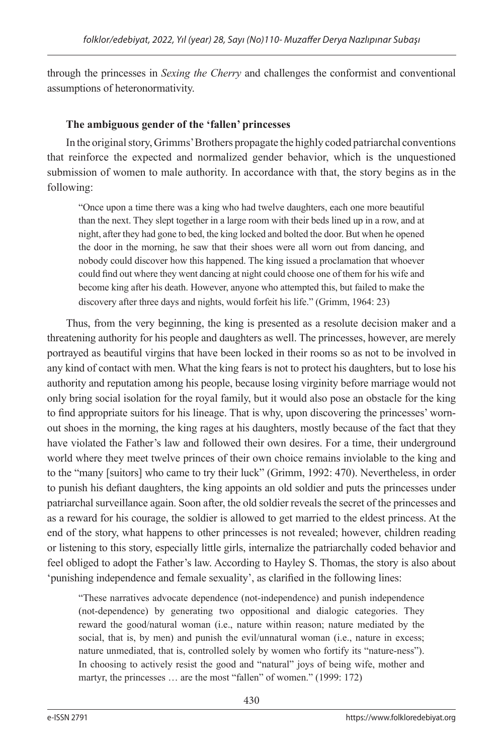through the princesses in *Sexing the Cherry* and challenges the conformist and conventional assumptions of heteronormativity.

## **The ambiguous gender of the 'fallen' princesses**

In the original story, Grimms' Brothers propagate the highly coded patriarchal conventions that reinforce the expected and normalized gender behavior, which is the unquestioned submission of women to male authority. In accordance with that, the story begins as in the following:

"Once upon a time there was a king who had twelve daughters, each one more beautiful than the next. They slept together in a large room with their beds lined up in a row, and at night, after they had gone to bed, the king locked and bolted the door. But when he opened the door in the morning, he saw that their shoes were all worn out from dancing, and nobody could discover how this happened. The king issued a proclamation that whoever could find out where they went dancing at night could choose one of them for his wife and become king after his death. However, anyone who attempted this, but failed to make the discovery after three days and nights, would forfeit his life." (Grimm, 1964: 23)

Thus, from the very beginning, the king is presented as a resolute decision maker and a threatening authority for his people and daughters as well. The princesses, however, are merely portrayed as beautiful virgins that have been locked in their rooms so as not to be involved in any kind of contact with men. What the king fears is not to protect his daughters, but to lose his authority and reputation among his people, because losing virginity before marriage would not only bring social isolation for the royal family, but it would also pose an obstacle for the king to find appropriate suitors for his lineage. That is why, upon discovering the princesses' wornout shoes in the morning, the king rages at his daughters, mostly because of the fact that they have violated the Father's law and followed their own desires. For a time, their underground world where they meet twelve princes of their own choice remains inviolable to the king and to the "many [suitors] who came to try their luck" (Grimm, 1992: 470). Nevertheless, in order to punish his defiant daughters, the king appoints an old soldier and puts the princesses under patriarchal surveillance again. Soon after, the old soldier reveals the secret of the princesses and as a reward for his courage, the soldier is allowed to get married to the eldest princess. At the end of the story, what happens to other princesses is not revealed; however, children reading or listening to this story, especially little girls, internalize the patriarchally coded behavior and feel obliged to adopt the Father's law. According to Hayley S. Thomas, the story is also about 'punishing independence and female sexuality', as clarified in the following lines:

"These narratives advocate dependence (not-independence) and punish independence (not-dependence) by generating two oppositional and dialogic categories. They reward the good/natural woman (i.e., nature within reason; nature mediated by the social, that is, by men) and punish the evil/unnatural woman (i.e., nature in excess; nature unmediated, that is, controlled solely by women who fortify its "nature-ness"). In choosing to actively resist the good and "natural" joys of being wife, mother and martyr, the princesses … are the most "fallen" of women." (1999: 172)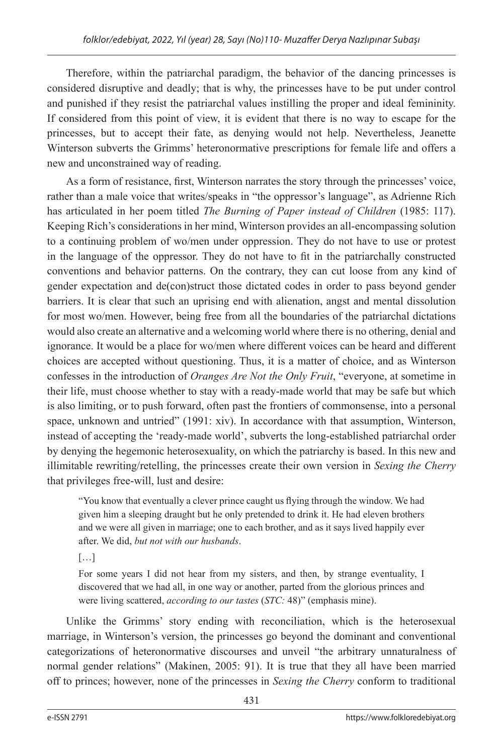Therefore, within the patriarchal paradigm, the behavior of the dancing princesses is considered disruptive and deadly; that is why, the princesses have to be put under control and punished if they resist the patriarchal values instilling the proper and ideal femininity. If considered from this point of view, it is evident that there is no way to escape for the princesses, but to accept their fate, as denying would not help. Nevertheless, Jeanette Winterson subverts the Grimms' heteronormative prescriptions for female life and offers a new and unconstrained way of reading.

As a form of resistance, first, Winterson narrates the story through the princesses' voice, rather than a male voice that writes/speaks in "the oppressor's language", as Adrienne Rich has articulated in her poem titled *The Burning of Paper instead of Children* (1985: 117). Keeping Rich's considerations in her mind, Winterson provides an all-encompassing solution to a continuing problem of wo/men under oppression. They do not have to use or protest in the language of the oppressor. They do not have to fit in the patriarchally constructed conventions and behavior patterns. On the contrary, they can cut loose from any kind of gender expectation and de(con)struct those dictated codes in order to pass beyond gender barriers. It is clear that such an uprising end with alienation, angst and mental dissolution for most wo/men. However, being free from all the boundaries of the patriarchal dictations would also create an alternative and a welcoming world where there is no othering, denial and ignorance. It would be a place for wo/men where different voices can be heard and different choices are accepted without questioning. Thus, it is a matter of choice, and as Winterson confesses in the introduction of *Oranges Are Not the Only Fruit*, "everyone, at sometime in their life, must choose whether to stay with a ready-made world that may be safe but which is also limiting, or to push forward, often past the frontiers of commonsense, into a personal space, unknown and untried" (1991: xiv). In accordance with that assumption, Winterson, instead of accepting the 'ready-made world', subverts the long-established patriarchal order by denying the hegemonic heterosexuality, on which the patriarchy is based. In this new and illimitable rewriting/retelling, the princesses create their own version in *Sexing the Cherry*  that privileges free-will, lust and desire:

"You know that eventually a clever prince caught us flying through the window. We had given him a sleeping draught but he only pretended to drink it. He had eleven brothers and we were all given in marriage; one to each brother, and as it says lived happily ever after. We did, *but not with our husbands*.

[…]

For some years I did not hear from my sisters, and then, by strange eventuality, I discovered that we had all, in one way or another, parted from the glorious princes and were living scattered, *according to our tastes* (*STC:* 48)" (emphasis mine).

Unlike the Grimms' story ending with reconciliation, which is the heterosexual marriage, in Winterson's version, the princesses go beyond the dominant and conventional categorizations of heteronormative discourses and unveil "the arbitrary unnaturalness of normal gender relations" (Makinen, 2005: 91). It is true that they all have been married off to princes; however, none of the princesses in *Sexing the Cherry* conform to traditional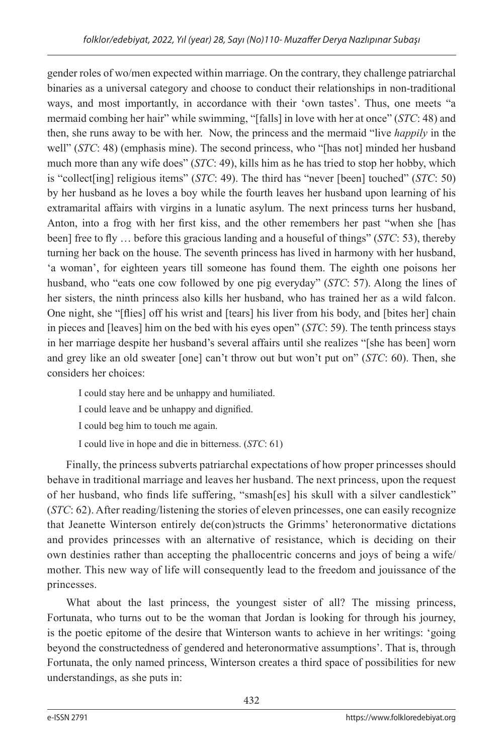gender roles of wo/men expected within marriage. On the contrary, they challenge patriarchal binaries as a universal category and choose to conduct their relationships in non-traditional ways, and most importantly, in accordance with their 'own tastes'. Thus, one meets "a mermaid combing her hair" while swimming, "[falls] in love with her at once" (*STC*: 48) and then, she runs away to be with her. Now, the princess and the mermaid "live *happily* in the well" (*STC*: 48) (emphasis mine). The second princess, who "[has not] minded her husband much more than any wife does" (*STC*: 49), kills him as he has tried to stop her hobby, which is "collect[ing] religious items" (*STC*: 49). The third has "never [been] touched" (*STC*: 50) by her husband as he loves a boy while the fourth leaves her husband upon learning of his extramarital affairs with virgins in a lunatic asylum. The next princess turns her husband, Anton, into a frog with her first kiss, and the other remembers her past "when she [has been] free to fly … before this gracious landing and a houseful of things" (*STC*: 53), thereby turning her back on the house. The seventh princess has lived in harmony with her husband, 'a woman', for eighteen years till someone has found them. The eighth one poisons her husband, who "eats one cow followed by one pig everyday" (*STC*: 57). Along the lines of her sisters, the ninth princess also kills her husband, who has trained her as a wild falcon. One night, she "[flies] off his wrist and [tears] his liver from his body, and [bites her] chain in pieces and [leaves] him on the bed with his eyes open" (*STC*: 59). The tenth princess stays in her marriage despite her husband's several affairs until she realizes "[she has been] worn and grey like an old sweater [one] can't throw out but won't put on" (*STC*: 60). Then, she considers her choices:

I could stay here and be unhappy and humiliated.

I could leave and be unhappy and dignified.

I could beg him to touch me again.

I could live in hope and die in bitterness. (*STC*: 61)

Finally, the princess subverts patriarchal expectations of how proper princesses should behave in traditional marriage and leaves her husband. The next princess, upon the request of her husband, who finds life suffering, "smash[es] his skull with a silver candlestick" (*STC*: 62). After reading/listening the stories of eleven princesses, one can easily recognize that Jeanette Winterson entirely de(con)structs the Grimms' heteronormative dictations and provides princesses with an alternative of resistance, which is deciding on their own destinies rather than accepting the phallocentric concerns and joys of being a wife/ mother. This new way of life will consequently lead to the freedom and jouissance of the princesses.

What about the last princess, the youngest sister of all? The missing princess, Fortunata, who turns out to be the woman that Jordan is looking for through his journey, is the poetic epitome of the desire that Winterson wants to achieve in her writings: 'going beyond the constructedness of gendered and heteronormative assumptions'. That is, through Fortunata, the only named princess, Winterson creates a third space of possibilities for new understandings, as she puts in: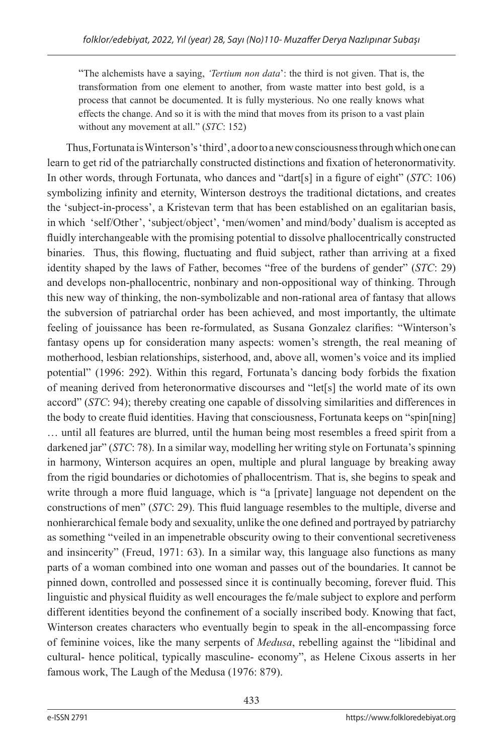"The alchemists have a saying, *'Tertium non data*': the third is not given. That is, the transformation from one element to another, from waste matter into best gold, is a process that cannot be documented. It is fully mysterious. No one really knows what effects the change. And so it is with the mind that moves from its prison to a vast plain without any movement at all." (*STC*: 152)

Thus, Fortunata is Winterson's 'third', a door to a new consciousness through which one can learn to get rid of the patriarchally constructed distinctions and fixation of heteronormativity. In other words, through Fortunata, who dances and "dart[s] in a figure of eight" (*STC*: 106) symbolizing infinity and eternity, Winterson destroys the traditional dictations, and creates the 'subject-in-process', a Kristevan term that has been established on an egalitarian basis, in which 'self/Other', 'subject/object', 'men/women' and mind/body' dualism is accepted as fluidly interchangeable with the promising potential to dissolve phallocentrically constructed binaries. Thus, this flowing, fluctuating and fluid subject, rather than arriving at a fixed identity shaped by the laws of Father, becomes "free of the burdens of gender" (*STC*: 29) and develops non-phallocentric, nonbinary and non-oppositional way of thinking. Through this new way of thinking, the non-symbolizable and non-rational area of fantasy that allows the subversion of patriarchal order has been achieved, and most importantly, the ultimate feeling of jouissance has been re-formulated, as Susana Gonzalez clarifies: "Winterson's fantasy opens up for consideration many aspects: women's strength, the real meaning of motherhood, lesbian relationships, sisterhood, and, above all, women's voice and its implied potential" (1996: 292). Within this regard, Fortunata's dancing body forbids the fixation of meaning derived from heteronormative discourses and "let[s] the world mate of its own accord" (*STC*: 94); thereby creating one capable of dissolving similarities and differences in the body to create fluid identities. Having that consciousness, Fortunata keeps on "spin[ning] … until all features are blurred, until the human being most resembles a freed spirit from a darkened jar" (*STC*: 78). In a similar way, modelling her writing style on Fortunata's spinning in harmony, Winterson acquires an open, multiple and plural language by breaking away from the rigid boundaries or dichotomies of phallocentrism. That is, she begins to speak and write through a more fluid language, which is "a [private] language not dependent on the constructions of men" (*STC*: 29). This fluid language resembles to the multiple, diverse and nonhierarchical female body and sexuality, unlike the one defined and portrayed by patriarchy as something "veiled in an impenetrable obscurity owing to their conventional secretiveness and insincerity" (Freud, 1971: 63). In a similar way, this language also functions as many parts of a woman combined into one woman and passes out of the boundaries. It cannot be pinned down, controlled and possessed since it is continually becoming, forever fluid. This linguistic and physical fluidity as well encourages the fe/male subject to explore and perform different identities beyond the confinement of a socially inscribed body. Knowing that fact, Winterson creates characters who eventually begin to speak in the all-encompassing force of feminine voices, like the many serpents of *Medusa*, rebelling against the "libidinal and cultural- hence political, typically masculine- economy", as Helene Cixous asserts in her famous work, The Laugh of the Medusa (1976: 879).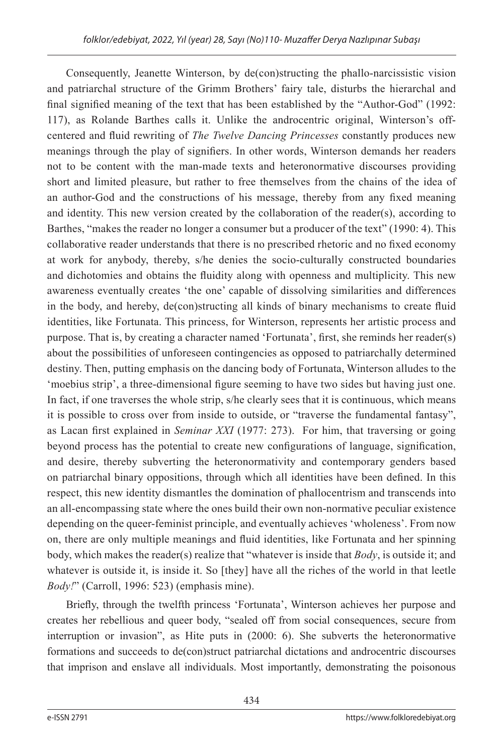Consequently, Jeanette Winterson, by de(con)structing the phallo-narcissistic vision and patriarchal structure of the Grimm Brothers' fairy tale, disturbs the hierarchal and final signified meaning of the text that has been established by the "Author-God" (1992: 117), as Rolande Barthes calls it. Unlike the androcentric original, Winterson's offcentered and fluid rewriting of *The Twelve Dancing Princesses* constantly produces new meanings through the play of signifiers. In other words, Winterson demands her readers not to be content with the man-made texts and heteronormative discourses providing short and limited pleasure, but rather to free themselves from the chains of the idea of an author-God and the constructions of his message, thereby from any fixed meaning and identity. This new version created by the collaboration of the reader(s), according to Barthes, "makes the reader no longer a consumer but a producer of the text" (1990: 4). This collaborative reader understands that there is no prescribed rhetoric and no fixed economy at work for anybody, thereby, s/he denies the socio-culturally constructed boundaries and dichotomies and obtains the fluidity along with openness and multiplicity. This new awareness eventually creates 'the one' capable of dissolving similarities and differences in the body, and hereby, de(con)structing all kinds of binary mechanisms to create fluid identities, like Fortunata. This princess, for Winterson, represents her artistic process and purpose. That is, by creating a character named 'Fortunata', first, she reminds her reader(s) about the possibilities of unforeseen contingencies as opposed to patriarchally determined destiny. Then, putting emphasis on the dancing body of Fortunata, Winterson alludes to the 'moebius strip', a three-dimensional figure seeming to have two sides but having just one. In fact, if one traverses the whole strip, s/he clearly sees that it is continuous, which means it is possible to cross over from inside to outside, or "traverse the fundamental fantasy", as Lacan first explained in *Seminar XXI* (1977: 273). For him, that traversing or going beyond process has the potential to create new configurations of language, signification, and desire, thereby subverting the heteronormativity and contemporary genders based on patriarchal binary oppositions, through which all identities have been defined. In this respect, this new identity dismantles the domination of phallocentrism and transcends into an all-encompassing state where the ones build their own non-normative peculiar existence depending on the queer-feminist principle, and eventually achieves 'wholeness'. From now on, there are only multiple meanings and fluid identities, like Fortunata and her spinning body, which makes the reader(s) realize that "whatever is inside that *Body*, is outside it; and whatever is outside it, is inside it. So [they] have all the riches of the world in that leetle *Body!*" (Carroll, 1996: 523) (emphasis mine).

Briefly, through the twelfth princess 'Fortunata', Winterson achieves her purpose and creates her rebellious and queer body, "sealed off from social consequences, secure from interruption or invasion", as Hite puts in (2000: 6). She subverts the heteronormative formations and succeeds to de(con)struct patriarchal dictations and androcentric discourses that imprison and enslave all individuals. Most importantly, demonstrating the poisonous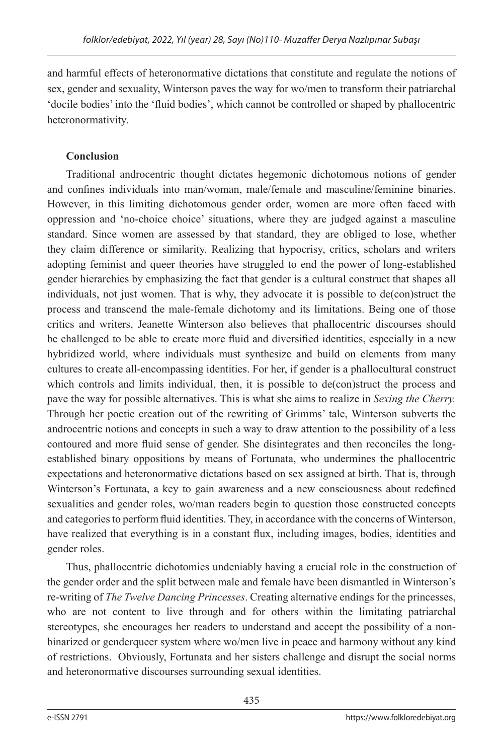and harmful effects of heteronormative dictations that constitute and regulate the notions of sex, gender and sexuality, Winterson paves the way for wo/men to transform their patriarchal 'docile bodies' into the 'fluid bodies', which cannot be controlled or shaped by phallocentric heteronormativity.

## **Conclusion**

Traditional androcentric thought dictates hegemonic dichotomous notions of gender and confines individuals into man/woman, male/female and masculine/feminine binaries. However, in this limiting dichotomous gender order, women are more often faced with oppression and 'no-choice choice' situations, where they are judged against a masculine standard. Since women are assessed by that standard, they are obliged to lose, whether they claim difference or similarity. Realizing that hypocrisy, critics, scholars and writers adopting feminist and queer theories have struggled to end the power of long-established gender hierarchies by emphasizing the fact that gender is a cultural construct that shapes all individuals, not just women. That is why, they advocate it is possible to de(con)struct the process and transcend the male-female dichotomy and its limitations. Being one of those critics and writers, Jeanette Winterson also believes that phallocentric discourses should be challenged to be able to create more fluid and diversified identities, especially in a new hybridized world, where individuals must synthesize and build on elements from many cultures to create all-encompassing identities. For her, if gender is a phallocultural construct which controls and limits individual, then, it is possible to de(con)struct the process and pave the way for possible alternatives. This is what she aims to realize in *Sexing the Cherry.*  Through her poetic creation out of the rewriting of Grimms' tale, Winterson subverts the androcentric notions and concepts in such a way to draw attention to the possibility of a less contoured and more fluid sense of gender. She disintegrates and then reconciles the longestablished binary oppositions by means of Fortunata, who undermines the phallocentric expectations and heteronormative dictations based on sex assigned at birth. That is, through Winterson's Fortunata, a key to gain awareness and a new consciousness about redefined sexualities and gender roles, wo/man readers begin to question those constructed concepts and categories to perform fluid identities. They, in accordance with the concerns of Winterson, have realized that everything is in a constant flux, including images, bodies, identities and gender roles.

Thus, phallocentric dichotomies undeniably having a crucial role in the construction of the gender order and the split between male and female have been dismantled in Winterson's re-writing of *The Twelve Dancing Princesses*. Creating alternative endings for the princesses, who are not content to live through and for others within the limitating patriarchal stereotypes, she encourages her readers to understand and accept the possibility of a nonbinarized or genderqueer system where wo/men live in peace and harmony without any kind of restrictions. Obviously, Fortunata and her sisters challenge and disrupt the social norms and heteronormative discourses surrounding sexual identities.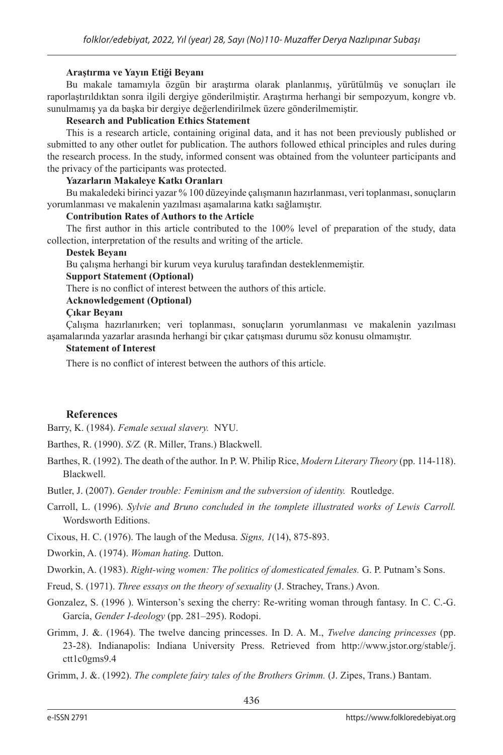#### **Araştırma ve Yayın Etiği Beyanı**

Bu makale tamamıyla özgün bir araştırma olarak planlanmış, yürütülmüş ve sonuçları ile raporlaştırıldıktan sonra ilgili dergiye gönderilmiştir. Araştırma herhangi bir sempozyum, kongre vb. sunulmamış ya da başka bir dergiye değerlendirilmek üzere gönderilmemiştir.

#### **Research and Publication Ethics Statement**

This is a research article, containing original data, and it has not been previously published or submitted to any other outlet for publication. The authors followed ethical principles and rules during the research process. In the study, informed consent was obtained from the volunteer participants and the privacy of the participants was protected.

#### **Yazarların Makaleye Katkı Oranları**

Bu makaledeki birinci yazar % 100 düzeyinde çalışmanın hazırlanması, veri toplanması, sonuçların yorumlanması ve makalenin yazılması aşamalarına katkı sağlamıştır.

#### **Contribution Rates of Authors to the Article**

The first author in this article contributed to the 100% level of preparation of the study, data collection, interpretation of the results and writing of the article.

#### **Destek Beyanı**

Bu çalışma herhangi bir kurum veya kuruluş tarafından desteklenmemiştir.

#### **Support Statement (Optional)**

There is no conflict of interest between the authors of this article.

#### **Acknowledgement (Optional)**

#### **Çıkar Beyanı**

Çalışma hazırlanırken; veri toplanması, sonuçların yorumlanması ve makalenin yazılması aşamalarında yazarlar arasında herhangi bir çıkar çatışması durumu söz konusu olmamıştır.

#### **Statement of Interest**

There is no conflict of interest between the authors of this article.

#### **References**

Barry, K. (1984). *Female sexual slavery.* NYU.

Barthes, R. (1990). *S/Z.* (R. Miller, Trans.) Blackwell.

- Barthes, R. (1992). The death of the author. In P. W. Philip Rice, *Modern Literary Theory* (pp. 114-118). Blackwell.
- Butler, J. (2007). *Gender trouble: Feminism and the subversion of identity.* Routledge.
- Carroll, L. (1996). *Sylvie and Bruno concluded in the tomplete illustrated works of Lewis Carroll.* Wordsworth Editions.

Cixous, H. C. (1976). The laugh of the Medusa. *Signs, 1*(14), 875-893.

Dworkin, A. (1974). *Woman hating.* Dutton.

Dworkin, A. (1983). *Right-wing women: The politics of domesticated females.* G. P. Putnam's Sons.

- Freud, S. (1971). *Three essays on the theory of sexuality* (J. Strachey, Trans.) Avon.
- Gonzalez, S. (1996 ). Winterson's sexing the cherry: Re-writing woman through fantasy. In C. C.-G. García, *Gender I-deology* (pp. 281–295). Rodopi.
- Grimm, J. &. (1964). The twelve dancing princesses. In D. A. M., *Twelve dancing princesses* (pp. 23-28). Indianapolis: Indiana University Press. Retrieved from http://www.jstor.org/stable/j. ctt1c0gms9.4

Grimm, J. &. (1992). *The complete fairy tales of the Brothers Grimm.* (J. Zipes, Trans.) Bantam.